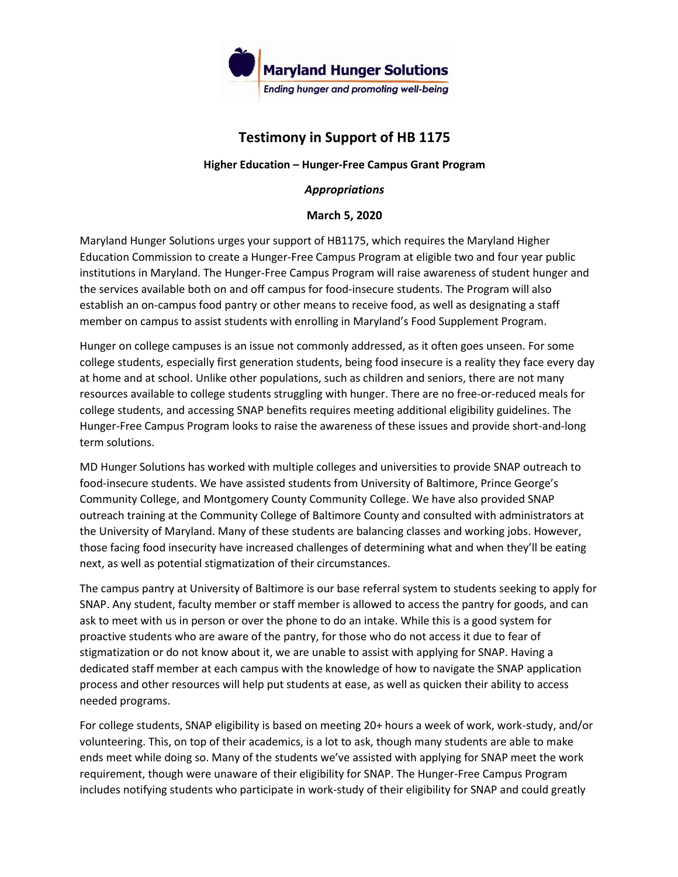

## **Testimony in Support of HB 1175**

## **Higher Education – Hunger-Free Campus Grant Program**

## *Appropriations*

## **March 5, 2020**

Maryland Hunger Solutions urges your support of HB1175, which requires the Maryland Higher Education Commission to create a Hunger-Free Campus Program at eligible two and four year public institutions in Maryland. The Hunger-Free Campus Program will raise awareness of student hunger and the services available both on and off campus for food-insecure students. The Program will also establish an on-campus food pantry or other means to receive food, as well as designating a staff member on campus to assist students with enrolling in Maryland's Food Supplement Program.

Hunger on college campuses is an issue not commonly addressed, as it often goes unseen. For some college students, especially first generation students, being food insecure is a reality they face every day at home and at school. Unlike other populations, such as children and seniors, there are not many resources available to college students struggling with hunger. There are no free-or-reduced meals for college students, and accessing SNAP benefits requires meeting additional eligibility guidelines. The Hunger-Free Campus Program looks to raise the awareness of these issues and provide short-and-long term solutions.

MD Hunger Solutions has worked with multiple colleges and universities to provide SNAP outreach to food-insecure students. We have assisted students from University of Baltimore, Prince George's Community College, and Montgomery County Community College. We have also provided SNAP outreach training at the Community College of Baltimore County and consulted with administrators at the University of Maryland. Many of these students are balancing classes and working jobs. However, those facing food insecurity have increased challenges of determining what and when they'll be eating next, as well as potential stigmatization of their circumstances.

The campus pantry at University of Baltimore is our base referral system to students seeking to apply for SNAP. Any student, faculty member or staff member is allowed to access the pantry for goods, and can ask to meet with us in person or over the phone to do an intake. While this is a good system for proactive students who are aware of the pantry, for those who do not access it due to fear of stigmatization or do not know about it, we are unable to assist with applying for SNAP. Having a dedicated staff member at each campus with the knowledge of how to navigate the SNAP application process and other resources will help put students at ease, as well as quicken their ability to access needed programs.

For college students, SNAP eligibility is based on meeting 20+ hours a week of work, work-study, and/or volunteering. This, on top of their academics, is a lot to ask, though many students are able to make ends meet while doing so. Many of the students we've assisted with applying for SNAP meet the work requirement, though were unaware of their eligibility for SNAP. The Hunger-Free Campus Program includes notifying students who participate in work-study of their eligibility for SNAP and could greatly